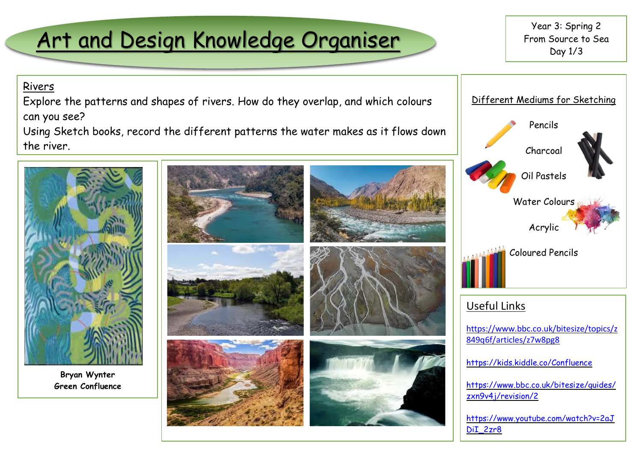# Art and Design Knowledge Organiser

Year 3: Spring 2 From Source to Sea Day 1/3

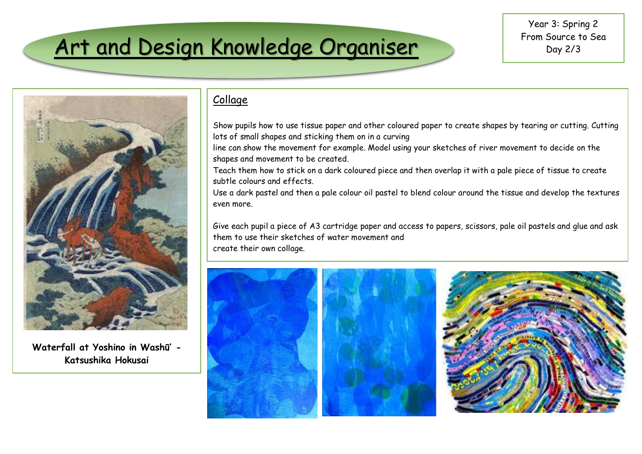## Art and Design Knowledge Organiser



**Waterfall at Yoshino in Washū' - Katsushika Hokusai**

## Collage

Show pupils how to use tissue paper and other coloured paper to create shapes by tearing or cutting. Cutting lots of small shapes and sticking them on in a curving

line can show the movement for example. Model using your sketches of river movement to decide on the shapes and movement to be created.

Teach them how to stick on a dark coloured piece and then overlap it with a pale piece of tissue to create subtle colours and effects.

Use a dark pastel and then a pale colour oil pastel to blend colour around the tissue and develop the textures even more.

Give each pupil a piece of A3 cartridge paper and access to papers, scissors, pale oil pastels and glue and ask them to use their sketches of water movement and create their own collage.